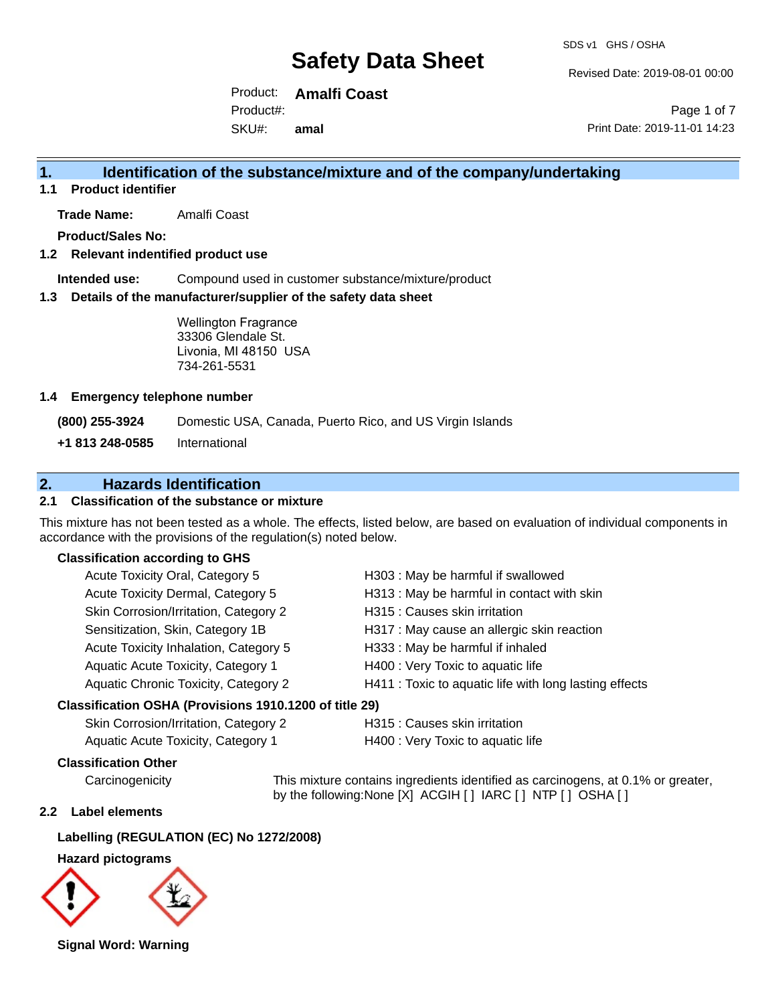Revised Date: 2019-08-01 00:00

Product: **Amalfi Coast** SKU#: Product#: **amal**

Page 1 of 7 Print Date: 2019-11-01 14:23

## **1. Identification of the substance/mixture and of the company/undertaking**

**1.1 Product identifier**

**Trade Name:** Amalfi Coast

**Product/Sales No:**

### **1.2 Relevant indentified product use**

**Intended use:** Compound used in customer substance/mixture/product

### **1.3 Details of the manufacturer/supplier of the safety data sheet**

Wellington Fragrance 33306 Glendale St. Livonia, MI 48150 USA 734-261-5531

### **1.4 Emergency telephone number**

**(800) 255-3924** Domestic USA, Canada, Puerto Rico, and US Virgin Islands

**+1 813 248-0585** International

## **2. Hazards Identification**

### **2.1 Classification of the substance or mixture**

This mixture has not been tested as a whole. The effects, listed below, are based on evaluation of individual components in accordance with the provisions of the regulation(s) noted below.

### **Classification according to GHS**

| Acute Toxicity Oral, Category 5                                                                            | H303: May be harmful if swallowed                      |
|------------------------------------------------------------------------------------------------------------|--------------------------------------------------------|
| Acute Toxicity Dermal, Category 5                                                                          | H313 : May be harmful in contact with skin             |
| Skin Corrosion/Irritation, Category 2                                                                      | H315 : Causes skin irritation                          |
| Sensitization, Skin, Category 1B                                                                           | H317 : May cause an allergic skin reaction             |
| Acute Toxicity Inhalation, Category 5                                                                      | H333: May be harmful if inhaled                        |
| Aquatic Acute Toxicity, Category 1                                                                         | H400 : Very Toxic to aquatic life                      |
| Aquatic Chronic Toxicity, Category 2                                                                       | H411 : Toxic to aquatic life with long lasting effects |
| $\mathbf{r}$ , and $\mathbf{r}$ , $\mathbf{r}$ , $\mathbf{r}$ , $\mathbf{r}$ , $\mathbf{r}$ , $\mathbf{r}$ |                                                        |

#### **Classification OSHA (Provisions 1910.1200 of title 29)**

| Skin Corrosion/Irritation, Category 2 | H315: |
|---------------------------------------|-------|
| Aquatic Acute Toxicity, Category 1    | H400: |

## Causes skin irritation

Very Toxic to aquatic life

### **Classification Other**

Carcinogenicity This mixture contains ingredients identified as carcinogens, at 0.1% or greater, by the following:None [X] ACGIH [ ] IARC [ ] NTP [ ] OSHA [ ]

### **2.2 Label elements**

### **Labelling (REGULATION (EC) No 1272/2008)**

#### **Hazard pictograms**



**Signal Word: Warning**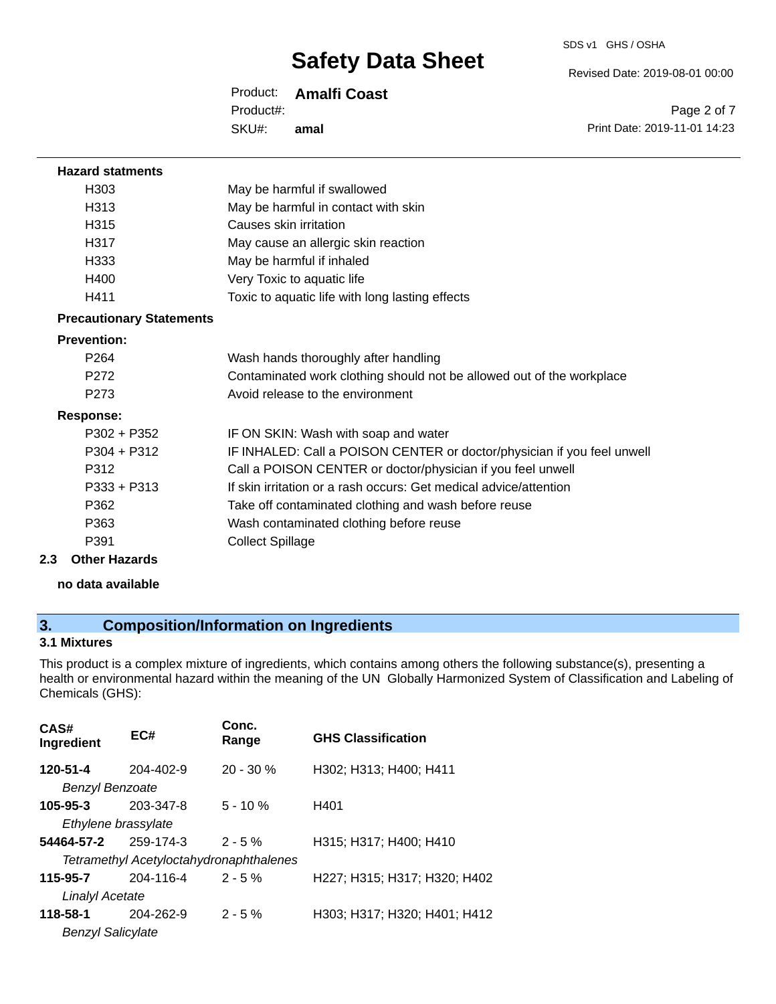SDS v1 GHS / OSHA

Revised Date: 2019-08-01 00:00

Product: **Amalfi Coast**

SKU#: Product#: **amal**

Page 2 of 7 Print Date: 2019-11-01 14:23

| <b>Hazard statments</b>         |                                                                         |
|---------------------------------|-------------------------------------------------------------------------|
| H <sub>303</sub>                | May be harmful if swallowed                                             |
| H313                            | May be harmful in contact with skin                                     |
| H315                            | Causes skin irritation                                                  |
| H317                            | May cause an allergic skin reaction                                     |
| H333                            | May be harmful if inhaled                                               |
| H400                            | Very Toxic to aquatic life                                              |
| H411                            | Toxic to aquatic life with long lasting effects                         |
| <b>Precautionary Statements</b> |                                                                         |
| <b>Prevention:</b>              |                                                                         |
| P <sub>264</sub>                | Wash hands thoroughly after handling                                    |
| P <sub>272</sub>                | Contaminated work clothing should not be allowed out of the workplace   |
| P273                            | Avoid release to the environment                                        |
| <b>Response:</b>                |                                                                         |
| $P302 + P352$                   | IF ON SKIN: Wash with soap and water                                    |
| $P304 + P312$                   | IF INHALED: Call a POISON CENTER or doctor/physician if you feel unwell |
| P312                            | Call a POISON CENTER or doctor/physician if you feel unwell             |
| P333 + P313                     | If skin irritation or a rash occurs: Get medical advice/attention       |
| P362                            | Take off contaminated clothing and wash before reuse                    |
| P363                            | Wash contaminated clothing before reuse                                 |
| P391                            | <b>Collect Spillage</b>                                                 |
| <b>Other Hazards</b><br>2.3     |                                                                         |
| no data available               |                                                                         |

## **3. Composition/Information on Ingredients**

## **3.1 Mixtures**

This product is a complex mixture of ingredients, which contains among others the following substance(s), presenting a health or environmental hazard within the meaning of the UN Globally Harmonized System of Classification and Labeling of Chemicals (GHS):

| CAS#<br>Ingredient                    | EC#                                                         | Conc.<br>Range | <b>GHS Classification</b>    |
|---------------------------------------|-------------------------------------------------------------|----------------|------------------------------|
| 120-51-4<br>Benzyl Benzoate           | $204 - 402 - 9$                                             | $20 - 30 \%$   | H302; H313; H400; H411       |
| $105 - 95 - 3$<br>Ethylene brassylate | 203-347-8                                                   | $5 - 10 \%$    | H401                         |
| 54464-57-2                            | 259-174-3<br><b>Tetramethyl Acetyloctahydronaphthalenes</b> | $2 - 5%$       | H315; H317; H400; H410       |
| 115-95-7<br>Linalyl Acetate           | 204-116-4                                                   | $2 - 5%$       | H227; H315; H317; H320; H402 |
| 118-58-1<br><b>Benzyl Salicylate</b>  | 204-262-9                                                   | $2 - 5%$       | H303; H317; H320; H401; H412 |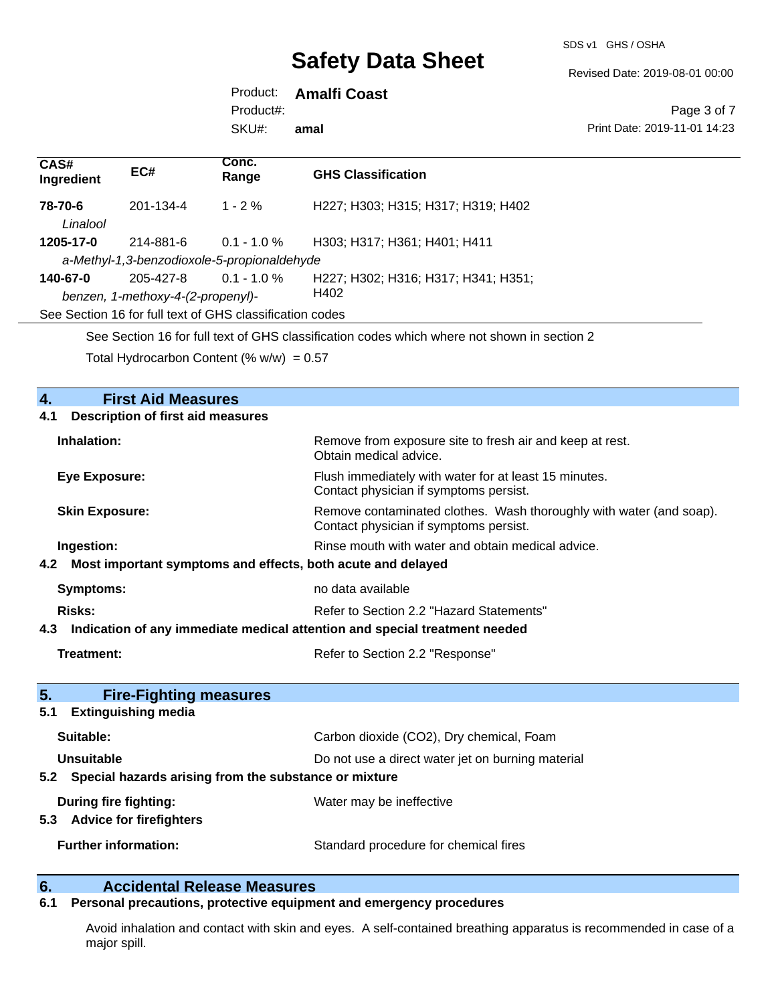SDS v1 GHS / OSHA

Revised Date: 2019-08-01 00:00

Product: **Amalfi Coast**

Product#:

SKU#: **amal**

Page 3 of 7 Print Date: 2019-11-01 14:23

| CAS#<br>Ingredient  | EC#                               | Conc.<br>Range                                           | <b>GHS Classification</b>                                                                   |
|---------------------|-----------------------------------|----------------------------------------------------------|---------------------------------------------------------------------------------------------|
| 78-70-6<br>Linalool | 201-134-4                         | $1 - 2\%$                                                | H227: H303: H315: H317: H319: H402                                                          |
| 1205-17-0           | 214-881-6                         | $0.1 - 1.0 \%$                                           | H303; H317; H361; H401; H411                                                                |
|                     |                                   | a-Methyl-1,3-benzodioxole-5-propionaldehyde              |                                                                                             |
| 140-67-0            | 205-427-8                         | $0.1 - 1.0 \%$                                           | H227; H302; H316; H317; H341; H351;                                                         |
|                     | benzen, 1-methoxy-4-(2-propenyl)- |                                                          | H402                                                                                        |
|                     |                                   | See Section 16 for full text of GHS classification codes |                                                                                             |
|                     |                                   |                                                          | See Section 16 for full text of GHS classification codes which where not shown in section 2 |
|                     |                                   | Total Hydrocarbon Content (% $w/w$ ) = 0.57              |                                                                                             |

## **4. First Aid Measures**

| <b>Description of first aid measures</b><br>4.1                    |                                                                                                               |  |  |  |
|--------------------------------------------------------------------|---------------------------------------------------------------------------------------------------------------|--|--|--|
| Inhalation:                                                        | Remove from exposure site to fresh air and keep at rest.<br>Obtain medical advice.                            |  |  |  |
| <b>Eye Exposure:</b>                                               | Flush immediately with water for at least 15 minutes.<br>Contact physician if symptoms persist.               |  |  |  |
| <b>Skin Exposure:</b>                                              | Remove contaminated clothes. Wash thoroughly with water (and soap).<br>Contact physician if symptoms persist. |  |  |  |
| Ingestion:                                                         | Rinse mouth with water and obtain medical advice.                                                             |  |  |  |
| Most important symptoms and effects, both acute and delayed<br>4.2 |                                                                                                               |  |  |  |
| <b>Symptoms:</b>                                                   | no data available                                                                                             |  |  |  |
| <b>Risks:</b>                                                      | Refer to Section 2.2 "Hazard Statements"                                                                      |  |  |  |
| 4.3                                                                | Indication of any immediate medical attention and special treatment needed                                    |  |  |  |
|                                                                    |                                                                                                               |  |  |  |
| <b>Treatment:</b>                                                  | Refer to Section 2.2 "Response"                                                                               |  |  |  |
| 5 <sub>1</sub><br><b>Fire-Fighting measures</b>                    |                                                                                                               |  |  |  |
| <b>Extinguishing media</b><br>5.1                                  |                                                                                                               |  |  |  |
| Suitable:                                                          | Carbon dioxide (CO2), Dry chemical, Foam                                                                      |  |  |  |
| Unsuitable                                                         | Do not use a direct water jet on burning material                                                             |  |  |  |
| 5.2 Special hazards arising from the substance or mixture          |                                                                                                               |  |  |  |
| During fire fighting:<br>5.3 Advice for firefighters               | Water may be ineffective                                                                                      |  |  |  |

# **6. Calcidental Release Measures**<br>**6.1** Personal precautions, protective equipment

## **6.1 Personal precautions, protective equipment and emergency procedures**

Avoid inhalation and contact with skin and eyes. A self-contained breathing apparatus is recommended in case of a major spill.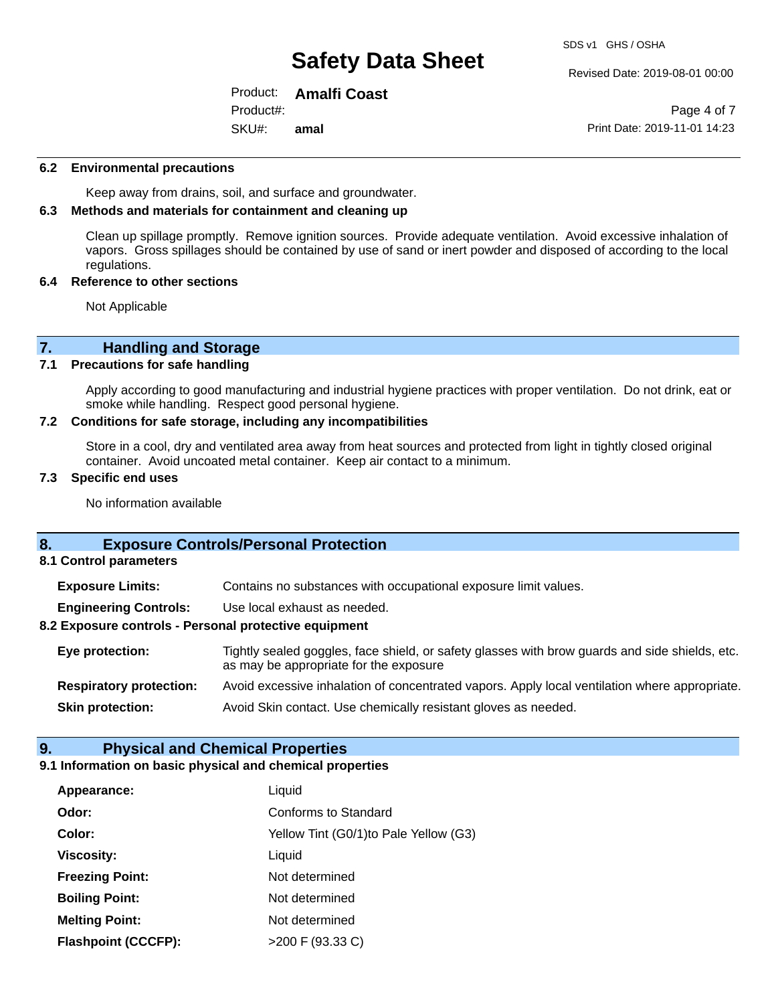Revised Date: 2019-08-01 00:00

Product: **Amalfi Coast** SKU#: Product#: **amal**

Page 4 of 7 Print Date: 2019-11-01 14:23

### **6.2 Environmental precautions**

Keep away from drains, soil, and surface and groundwater.

### **6.3 Methods and materials for containment and cleaning up**

Clean up spillage promptly. Remove ignition sources. Provide adequate ventilation. Avoid excessive inhalation of vapors. Gross spillages should be contained by use of sand or inert powder and disposed of according to the local regulations.

### **6.4 Reference to other sections**

Not Applicable

# **7. Handling and Storage**<br>**7.1** Precautions for safe handling

### **Precautions for safe handling**

Apply according to good manufacturing and industrial hygiene practices with proper ventilation. Do not drink, eat or smoke while handling. Respect good personal hygiene.

### **7.2 Conditions for safe storage, including any incompatibilities**

Store in a cool, dry and ventilated area away from heat sources and protected from light in tightly closed original container. Avoid uncoated metal container. Keep air contact to a minimum.

### **7.3 Specific end uses**

No information available

## **8. Exposure Controls/Personal Protection**

**8.1 Control parameters**

**Exposure Limits:** Contains no substances with occupational exposure limit values.

**Engineering Controls:** Use local exhaust as needed.

### **8.2 Exposure controls - Personal protective equipment**

**Eye protection:** Tightly sealed goggles, face shield, or safety glasses with brow guards and side shields, etc. as may be appropriate for the exposure **Respiratory protection:** Avoid excessive inhalation of concentrated vapors. Apply local ventilation where appropriate.

**Skin protection:** Avoid Skin contact. Use chemically resistant gloves as needed.

### **9. Physical and Chemical Properties**

### **9.1 Information on basic physical and chemical properties**

| Appearance:                | Liquid                                 |
|----------------------------|----------------------------------------|
| Odor:                      | Conforms to Standard                   |
| Color:                     | Yellow Tint (G0/1) to Pale Yellow (G3) |
| <b>Viscosity:</b>          | Liquid                                 |
| <b>Freezing Point:</b>     | Not determined                         |
| <b>Boiling Point:</b>      | Not determined                         |
| <b>Melting Point:</b>      | Not determined                         |
| <b>Flashpoint (CCCFP):</b> | $>200$ F (93.33 C)                     |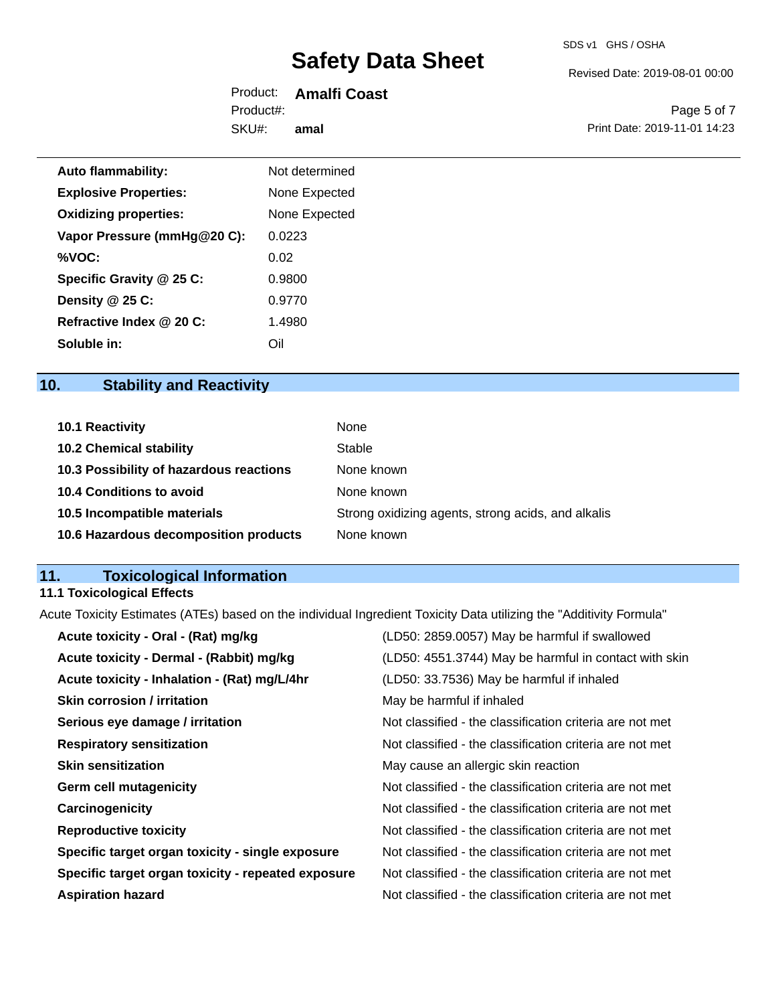Revised Date: 2019-08-01 00:00

Product: **Amalfi Coast** SKU#: Product#: **amal**

Page 5 of 7 Print Date: 2019-11-01 14:23

| <b>Auto flammability:</b>    | Not determined |
|------------------------------|----------------|
| <b>Explosive Properties:</b> | None Expected  |
| <b>Oxidizing properties:</b> | None Expected  |
| Vapor Pressure (mmHg@20 C):  | 0.0223         |
| %VOC:                        | 0.02           |
| Specific Gravity @ 25 C:     | 0.9800         |
| Density @ 25 C:              | 0.9770         |
| Refractive Index @ 20 C:     | 1.4980         |
| Soluble in:                  | Oil            |

## **10. Stability and Reactivity**

| <b>10.1 Reactivity</b>                  | None                                               |
|-----------------------------------------|----------------------------------------------------|
| <b>10.2 Chemical stability</b>          | Stable                                             |
| 10.3 Possibility of hazardous reactions | None known                                         |
| 10.4 Conditions to avoid                | None known                                         |
| 10.5 Incompatible materials             | Strong oxidizing agents, strong acids, and alkalis |
| 10.6 Hazardous decomposition products   | None known                                         |

## **11. Toxicological Information**

## **11.1 Toxicological Effects**

Acute Toxicity Estimates (ATEs) based on the individual Ingredient Toxicity Data utilizing the "Additivity Formula"

| (LD50: 4551.3744) May be harmful in contact with skin<br>Acute toxicity - Dermal - (Rabbit) mg/kg<br>Acute toxicity - Inhalation - (Rat) mg/L/4hr<br>(LD50: 33.7536) May be harmful if inhaled<br><b>Skin corrosion / irritation</b><br>May be harmful if inhaled<br>Not classified - the classification criteria are not met<br>Serious eye damage / irritation<br>Not classified - the classification criteria are not met<br><b>Respiratory sensitization</b><br><b>Skin sensitization</b><br>May cause an allergic skin reaction<br><b>Germ cell mutagenicity</b><br>Not classified - the classification criteria are not met<br>Not classified - the classification criteria are not met<br>Carcinogenicity<br><b>Reproductive toxicity</b><br>Not classified - the classification criteria are not met<br>Specific target organ toxicity - single exposure<br>Not classified - the classification criteria are not met<br>Not classified - the classification criteria are not met<br>Specific target organ toxicity - repeated exposure | Acute toxicity - Oral - (Rat) mg/kg | (LD50: 2859.0057) May be harmful if swallowed |
|------------------------------------------------------------------------------------------------------------------------------------------------------------------------------------------------------------------------------------------------------------------------------------------------------------------------------------------------------------------------------------------------------------------------------------------------------------------------------------------------------------------------------------------------------------------------------------------------------------------------------------------------------------------------------------------------------------------------------------------------------------------------------------------------------------------------------------------------------------------------------------------------------------------------------------------------------------------------------------------------------------------------------------------------|-------------------------------------|-----------------------------------------------|
|                                                                                                                                                                                                                                                                                                                                                                                                                                                                                                                                                                                                                                                                                                                                                                                                                                                                                                                                                                                                                                                |                                     |                                               |
|                                                                                                                                                                                                                                                                                                                                                                                                                                                                                                                                                                                                                                                                                                                                                                                                                                                                                                                                                                                                                                                |                                     |                                               |
|                                                                                                                                                                                                                                                                                                                                                                                                                                                                                                                                                                                                                                                                                                                                                                                                                                                                                                                                                                                                                                                |                                     |                                               |
|                                                                                                                                                                                                                                                                                                                                                                                                                                                                                                                                                                                                                                                                                                                                                                                                                                                                                                                                                                                                                                                |                                     |                                               |
|                                                                                                                                                                                                                                                                                                                                                                                                                                                                                                                                                                                                                                                                                                                                                                                                                                                                                                                                                                                                                                                |                                     |                                               |
|                                                                                                                                                                                                                                                                                                                                                                                                                                                                                                                                                                                                                                                                                                                                                                                                                                                                                                                                                                                                                                                |                                     |                                               |
|                                                                                                                                                                                                                                                                                                                                                                                                                                                                                                                                                                                                                                                                                                                                                                                                                                                                                                                                                                                                                                                |                                     |                                               |
|                                                                                                                                                                                                                                                                                                                                                                                                                                                                                                                                                                                                                                                                                                                                                                                                                                                                                                                                                                                                                                                |                                     |                                               |
|                                                                                                                                                                                                                                                                                                                                                                                                                                                                                                                                                                                                                                                                                                                                                                                                                                                                                                                                                                                                                                                |                                     |                                               |
|                                                                                                                                                                                                                                                                                                                                                                                                                                                                                                                                                                                                                                                                                                                                                                                                                                                                                                                                                                                                                                                |                                     |                                               |
|                                                                                                                                                                                                                                                                                                                                                                                                                                                                                                                                                                                                                                                                                                                                                                                                                                                                                                                                                                                                                                                |                                     |                                               |
| Not classified - the classification criteria are not met<br><b>Aspiration hazard</b>                                                                                                                                                                                                                                                                                                                                                                                                                                                                                                                                                                                                                                                                                                                                                                                                                                                                                                                                                           |                                     |                                               |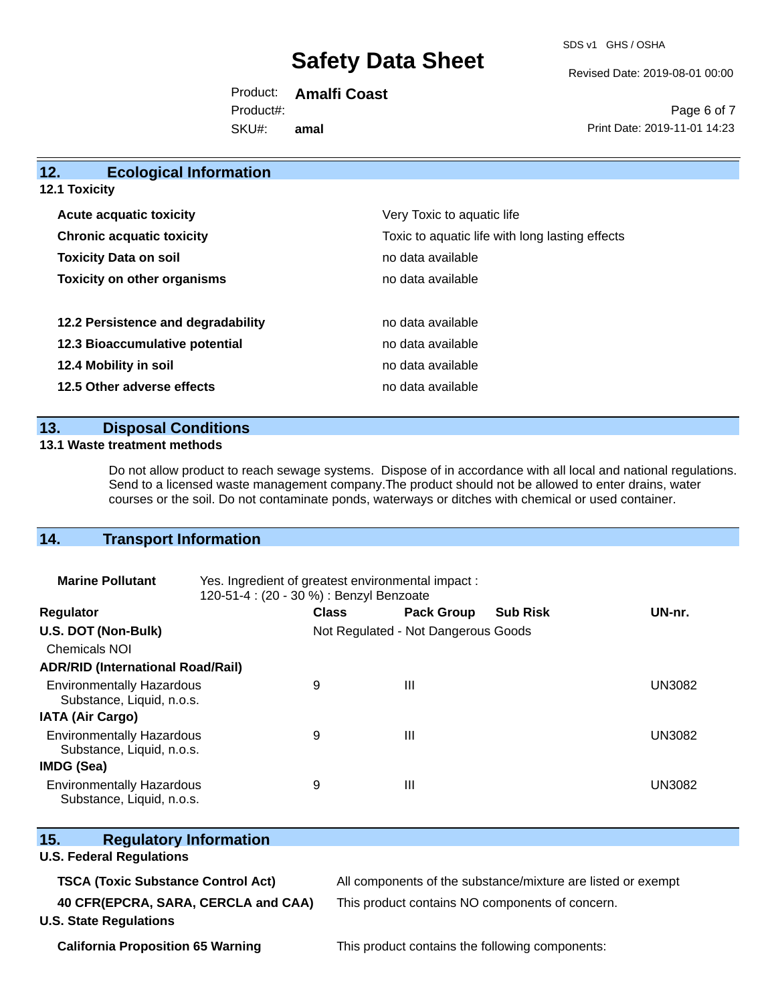SDS v1 GHS / OSHA

Revised Date: 2019-08-01 00:00

Product: **Amalfi Coast** SKU#: Product#: **amal**

Page 6 of 7 Print Date: 2019-11-01 14:23

| 12.<br><b>Ecological Information</b> |                                                 |
|--------------------------------------|-------------------------------------------------|
| <b>12.1 Toxicity</b>                 |                                                 |
| <b>Acute acquatic toxicity</b>       | Very Toxic to aquatic life                      |
| <b>Chronic acquatic toxicity</b>     | Toxic to aquatic life with long lasting effects |
| <b>Toxicity Data on soil</b>         | no data available                               |
| <b>Toxicity on other organisms</b>   | no data available                               |
| 12.2 Persistence and degradability   | no data available                               |
| 12.3 Bioaccumulative potential       | no data available                               |
| 12.4 Mobility in soil                | no data available                               |
| 12.5 Other adverse effects           | no data available                               |
|                                      |                                                 |

## **13. Disposal Conditions**

### **13.1 Waste treatment methods**

Do not allow product to reach sewage systems. Dispose of in accordance with all local and national regulations. Send to a licensed waste management company.The product should not be allowed to enter drains, water courses or the soil. Do not contaminate ponds, waterways or ditches with chemical or used container.

## **14. Transport Information**

| <b>Marine Pollutant</b>                                       | Yes. Ingredient of greatest environmental impact:<br>120-51-4 : (20 - 30 %) : Benzyl Benzoate |              |                                     |                 |               |
|---------------------------------------------------------------|-----------------------------------------------------------------------------------------------|--------------|-------------------------------------|-----------------|---------------|
| <b>Regulator</b>                                              |                                                                                               | <b>Class</b> | <b>Pack Group</b>                   | <b>Sub Risk</b> | UN-nr.        |
| U.S. DOT (Non-Bulk)                                           |                                                                                               |              | Not Regulated - Not Dangerous Goods |                 |               |
| <b>Chemicals NOI</b>                                          |                                                                                               |              |                                     |                 |               |
| <b>ADR/RID (International Road/Rail)</b>                      |                                                                                               |              |                                     |                 |               |
| <b>Environmentally Hazardous</b><br>Substance, Liquid, n.o.s. |                                                                                               | 9            | Ш                                   |                 | UN3082        |
| <b>IATA (Air Cargo)</b>                                       |                                                                                               |              |                                     |                 |               |
| <b>Environmentally Hazardous</b><br>Substance, Liquid, n.o.s. |                                                                                               | 9            | Ш                                   |                 | <b>UN3082</b> |
| <b>IMDG (Sea)</b>                                             |                                                                                               |              |                                     |                 |               |
| <b>Environmentally Hazardous</b><br>Substance, Liquid, n.o.s. |                                                                                               | 9            | Ш                                   |                 | <b>UN3082</b> |

| 15.<br><b>Regulatory Information</b>                                 |                                                              |  |  |
|----------------------------------------------------------------------|--------------------------------------------------------------|--|--|
| <b>U.S. Federal Regulations</b>                                      |                                                              |  |  |
| <b>TSCA (Toxic Substance Control Act)</b>                            | All components of the substance/mixture are listed or exempt |  |  |
| 40 CFR(EPCRA, SARA, CERCLA and CAA)<br><b>U.S. State Regulations</b> | This product contains NO components of concern.              |  |  |
| <b>California Proposition 65 Warning</b>                             | This product contains the following components:              |  |  |